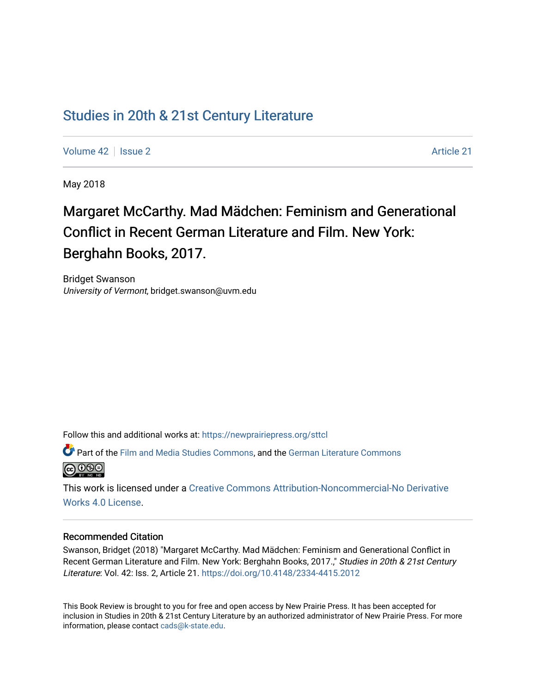## [Studies in 20th & 21st Century Literature](https://newprairiepress.org/sttcl)

[Volume 42](https://newprairiepress.org/sttcl/vol42) | [Issue 2](https://newprairiepress.org/sttcl/vol42/iss2) Article 21

May 2018

# Margaret McCarthy. Mad Mädchen: Feminism and Generational Conflict in Recent German Literature and Film. New York: Berghahn Books, 2017.

Bridget Swanson University of Vermont, bridget.swanson@uvm.edu

Follow this and additional works at: [https://newprairiepress.org/sttcl](https://newprairiepress.org/sttcl?utm_source=newprairiepress.org%2Fsttcl%2Fvol42%2Fiss2%2F21&utm_medium=PDF&utm_campaign=PDFCoverPages) 

Part of the [Film and Media Studies Commons,](http://network.bepress.com/hgg/discipline/563?utm_source=newprairiepress.org%2Fsttcl%2Fvol42%2Fiss2%2F21&utm_medium=PDF&utm_campaign=PDFCoverPages) and the [German Literature Commons](http://network.bepress.com/hgg/discipline/469?utm_source=newprairiepress.org%2Fsttcl%2Fvol42%2Fiss2%2F21&utm_medium=PDF&utm_campaign=PDFCoverPages) <u>@ 000</u>

This work is licensed under a [Creative Commons Attribution-Noncommercial-No Derivative](https://creativecommons.org/licenses/by-nc-nd/4.0/)  [Works 4.0 License](https://creativecommons.org/licenses/by-nc-nd/4.0/).

#### Recommended Citation

Swanson, Bridget (2018) "Margaret McCarthy. Mad Mädchen: Feminism and Generational Conflict in Recent German Literature and Film. New York: Berghahn Books, 2017.," Studies in 20th & 21st Century Literature: Vol. 42: Iss. 2, Article 21. <https://doi.org/10.4148/2334-4415.2012>

This Book Review is brought to you for free and open access by New Prairie Press. It has been accepted for inclusion in Studies in 20th & 21st Century Literature by an authorized administrator of New Prairie Press. For more information, please contact [cads@k-state.edu](mailto:cads@k-state.edu).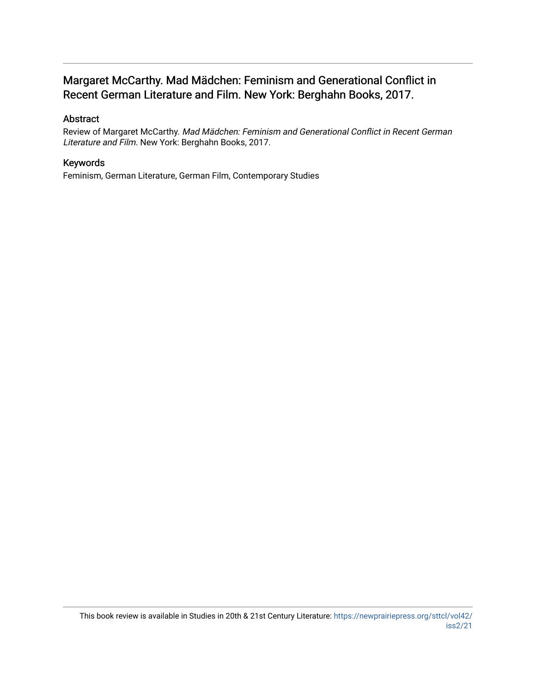## Margaret McCarthy. Mad Mädchen: Feminism and Generational Conflict in Recent German Literature and Film. New York: Berghahn Books, 2017.

## Abstract

Review of Margaret McCarthy. Mad Mädchen: Feminism and Generational Conflict in Recent German Literature and Film. New York: Berghahn Books, 2017.

### Keywords

Feminism, German Literature, German Film, Contemporary Studies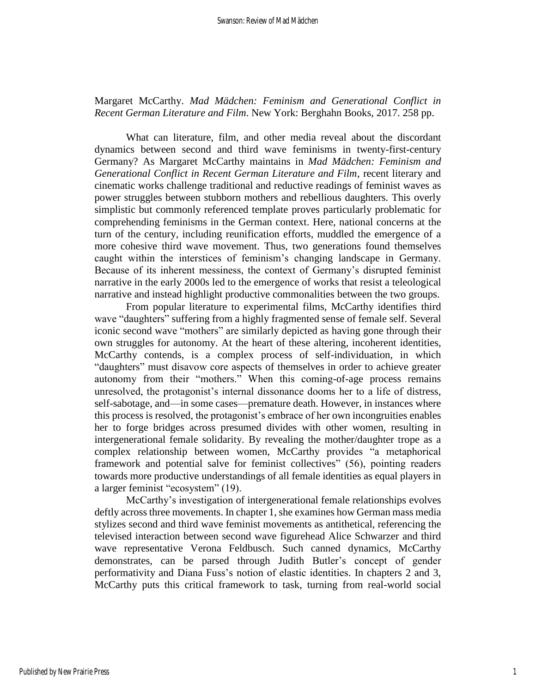Margaret McCarthy. *Mad Mädchen: Feminism and Generational Conflict in Recent German Literature and Film*. New York: Berghahn Books, 2017. 258 pp.

What can literature, film, and other media reveal about the discordant dynamics between second and third wave feminisms in twenty-first-century Germany? As Margaret McCarthy maintains in *Mad Mädchen: Feminism and Generational Conflict in Recent German Literature and Film*, recent literary and cinematic works challenge traditional and reductive readings of feminist waves as power struggles between stubborn mothers and rebellious daughters. This overly simplistic but commonly referenced template proves particularly problematic for comprehending feminisms in the German context. Here, national concerns at the turn of the century, including reunification efforts, muddled the emergence of a more cohesive third wave movement. Thus, two generations found themselves caught within the interstices of feminism's changing landscape in Germany. Because of its inherent messiness, the context of Germany's disrupted feminist narrative in the early 2000s led to the emergence of works that resist a teleological narrative and instead highlight productive commonalities between the two groups.

From popular literature to experimental films, McCarthy identifies third wave "daughters" suffering from a highly fragmented sense of female self. Several iconic second wave "mothers" are similarly depicted as having gone through their own struggles for autonomy. At the heart of these altering, incoherent identities, McCarthy contends, is a complex process of self-individuation, in which "daughters" must disavow core aspects of themselves in order to achieve greater autonomy from their "mothers." When this coming-of-age process remains unresolved, the protagonist's internal dissonance dooms her to a life of distress, self-sabotage, and—in some cases—premature death. However, in instances where this process is resolved, the protagonist's embrace of her own incongruities enables her to forge bridges across presumed divides with other women, resulting in intergenerational female solidarity. By revealing the mother/daughter trope as a complex relationship between women, McCarthy provides "a metaphorical framework and potential salve for feminist collectives" (56), pointing readers towards more productive understandings of all female identities as equal players in a larger feminist "ecosystem" (19).

McCarthy's investigation of intergenerational female relationships evolves deftly across three movements. In chapter 1, she examines how German mass media stylizes second and third wave feminist movements as antithetical, referencing the televised interaction between second wave figurehead Alice Schwarzer and third wave representative Verona Feldbusch. Such canned dynamics, McCarthy demonstrates, can be parsed through Judith Butler's concept of gender performativity and Diana Fuss's notion of elastic identities. In chapters 2 and 3, McCarthy puts this critical framework to task, turning from real-world social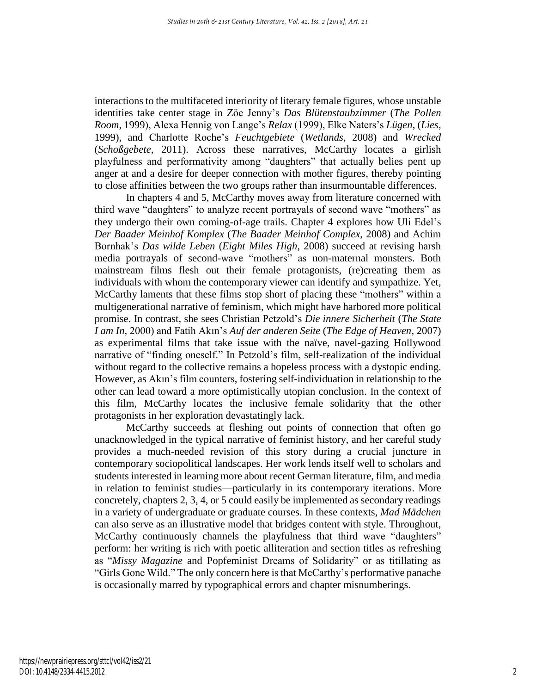interactions to the multifaceted interiority of literary female figures, whose unstable identities take center stage in Zöe Jenny's *Das Blütenstaubzimmer* (*The Pollen Room*, 1999), Alexa Hennig von Lange's *Relax* (1999), Elke Naters's *Lügen*, (*Lies*, 1999), and Charlotte Roche's *Feuchtgebiete* (*Wetlands*, 2008) and *Wrecked*  (*Schoßgebete*, 2011). Across these narratives, McCarthy locates a girlish playfulness and performativity among "daughters" that actually belies pent up anger at and a desire for deeper connection with mother figures, thereby pointing to close affinities between the two groups rather than insurmountable differences.

In chapters 4 and 5, McCarthy moves away from literature concerned with third wave "daughters" to analyze recent portrayals of second wave "mothers" as they undergo their own coming-of-age trails. Chapter 4 explores how Uli Edel's *Der Baader Meinhof Komplex* (*The Baader Meinhof Complex*, 2008) and Achim Bornhak's *Das wilde Leben* (*Eight Miles High*, 2008) succeed at revising harsh media portrayals of second-wave "mothers" as non-maternal monsters. Both mainstream films flesh out their female protagonists, (re)creating them as individuals with whom the contemporary viewer can identify and sympathize. Yet, McCarthy laments that these films stop short of placing these "mothers" within a multigenerational narrative of feminism, which might have harbored more political promise. In contrast, she sees Christian Petzold's *Die innere Sicherheit* (*The State I am In*, 2000) and Fatih Akın's *Auf der anderen Seite* (*The Edge of Heaven*, 2007) as experimental films that take issue with the naïve, navel-gazing Hollywood narrative of "finding oneself." In Petzold's film, self-realization of the individual without regard to the collective remains a hopeless process with a dystopic ending. However, as Akın's film counters, fostering self-individuation in relationship to the other can lead toward a more optimistically utopian conclusion. In the context of this film, McCarthy locates the inclusive female solidarity that the other protagonists in her exploration devastatingly lack.

McCarthy succeeds at fleshing out points of connection that often go unacknowledged in the typical narrative of feminist history, and her careful study provides a much-needed revision of this story during a crucial juncture in contemporary sociopolitical landscapes. Her work lends itself well to scholars and students interested in learning more about recent German literature, film, and media in relation to feminist studies—particularly in its contemporary iterations. More concretely, chapters 2, 3, 4, or 5 could easily be implemented as secondary readings in a variety of undergraduate or graduate courses. In these contexts, *Mad Mädchen* can also serve as an illustrative model that bridges content with style. Throughout, McCarthy continuously channels the playfulness that third wave "daughters" perform: her writing is rich with poetic alliteration and section titles as refreshing as "*Missy Magazine* and Popfeminist Dreams of Solidarity" or as titillating as "Girls Gone Wild." The only concern here is that McCarthy's performative panache is occasionally marred by typographical errors and chapter misnumberings.